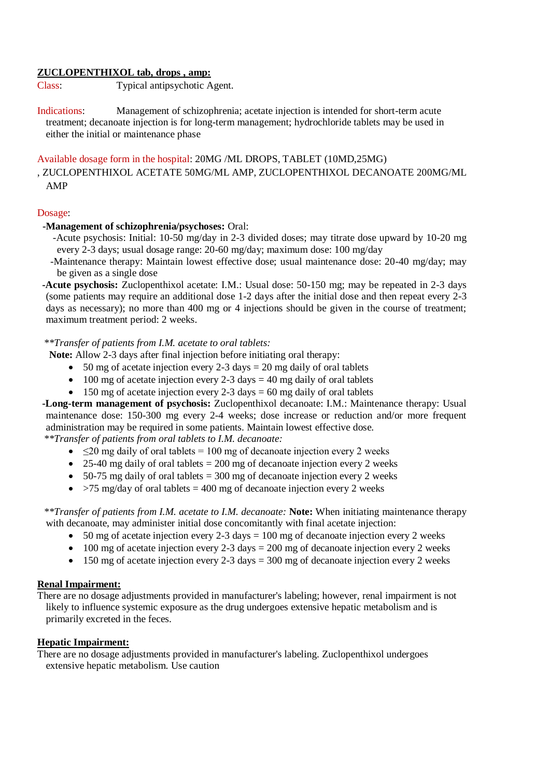### **ZUCLOPENTHIXOL tab, drops , amp:**

Class: Typical antipsychotic Agent.

Indications: Management of schizophrenia; acetate injection is intended for short-term acute treatment; decanoate injection is for long-term management; hydrochloride tablets may be used in either the initial or maintenance phase

# Available dosage form in the hospital: 20MG /ML DROPS, TABLET (10MD,25MG)

# , ZUCLOPENTHIXOL ACETATE 50MG/ML AMP, ZUCLOPENTHIXOL DECANOATE 200MG/ML AMP

### Dosage:

# **-Management of schizophrenia/psychoses:** Oral:

-Acute psychosis: Initial: 10-50 mg/day in 2-3 divided doses; may titrate dose upward by 10-20 mg every 2-3 days; usual dosage range: 20-60 mg/day; maximum dose: 100 mg/day

-Maintenance therapy: Maintain lowest effective dose; usual maintenance dose: 20-40 mg/day; may be given as a single dose

 **-Acute psychosis:** Zuclopenthixol acetate: I.M.: Usual dose: 50-150 mg; may be repeated in 2-3 days (some patients may require an additional dose 1-2 days after the initial dose and then repeat every 2-3 days as necessary); no more than 400 mg or 4 injections should be given in the course of treatment; maximum treatment period: 2 weeks.

# *\*\*Transfer of patients from I.M. acetate to oral tablets:*

**Note:** Allow 2-3 days after final injection before initiating oral therapy:

- $\bullet$  50 mg of acetate injection every 2-3 days = 20 mg daily of oral tablets
- $\bullet$  100 mg of acetate injection every 2-3 days = 40 mg daily of oral tablets
- $\bullet$  150 mg of acetate injection every 2-3 days = 60 mg daily of oral tablets

 **-Long-term management of psychosis:** Zuclopenthixol decanoate: I.M.: Maintenance therapy: Usual maintenance dose: 150-300 mg every 2-4 weeks; dose increase or reduction and/or more frequent administration may be required in some patients. Maintain lowest effective dose.

*\*\*Transfer of patients from oral tablets to I.M. decanoate:*

- $\sim$   $\leq$ 20 mg daily of oral tablets = 100 mg of decanoate injection every 2 weeks
- $\bullet$  25-40 mg daily of oral tablets = 200 mg of decanoate injection every 2 weeks
- $\bullet$  50-75 mg daily of oral tablets = 300 mg of decanoate injection every 2 weeks
- $\bullet$  >75 mg/day of oral tablets = 400 mg of decanoate injection every 2 weeks

*\*\*Transfer of patients from I.M. acetate to I.M. decanoate:* **Note:** When initiating maintenance therapy with decanoate, may administer initial dose concomitantly with final acetate injection:

- $\bullet$  50 mg of acetate injection every 2-3 days = 100 mg of decanoate injection every 2 weeks
- $\bullet$  100 mg of acetate injection every 2-3 days = 200 mg of decanoate injection every 2 weeks
- $\bullet$  150 mg of acetate injection every 2-3 days = 300 mg of decanoate injection every 2 weeks

## **Renal Impairment:**

There are no dosage adjustments provided in manufacturer's labeling; however, renal impairment is not likely to influence systemic exposure as the drug undergoes extensive hepatic metabolism and is primarily excreted in the feces.

## **Hepatic Impairment:**

There are no dosage adjustments provided in manufacturer's labeling. Zuclopenthixol undergoes extensive hepatic metabolism. Use caution